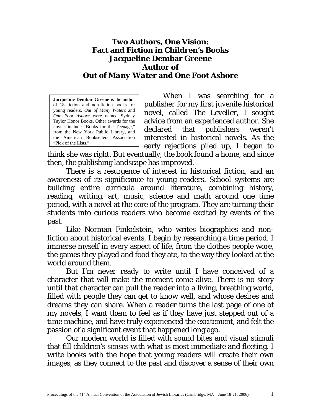## **Two Authors, One Vision: Fact and Fiction in Children's Books Jacqueline Dembar Greene Author of** *Out of Many Water* **and** *One Foot Ashore*

**Jacqueline Dembar Greene** is the author of 18 fiction and non-fiction books for young readers. *Out of Many Waters* and *One Foot Ashore* were named Sydney Taylor Honor Books. Other awards for the novels include "Books for the Teenage," from the New York Public Library, and the American Booksellers Association "Pick of the Lists."

When I was searching for a publisher for my first juvenile historical novel, called *The Leveller*, I sought advice from an experienced author. She declared that publishers weren't interested in historical novels. As the early rejections piled up, I began to

think she was right. But eventually, the book found a home, and since then, the publishing landscape has improved.

There is a resurgence of interest in historical fiction, and an awareness of its significance to young readers. School systems are building entire curricula around literature, combining history, reading, writing, art, music, science and math around one time period, with a novel at the core of the program. They are turning their students into curious readers who become excited by events of the past.

Like Norman Finkelstein, who writes biographies and nonfiction about historical events, I begin by researching a time period. I immerse myself in every aspect of life, from the clothes people wore, the games they played and food they ate, to the way they looked at the world around them.

But I'm never ready to write until I have conceived of a character that will make the moment come alive. There is no story until that character can pull the reader into a living, breathing world, filled with people they can get to know well, and whose desires and dreams they can share. When a reader turns the last page of one of my novels, I want them to feel as if they have just stepped out of a time machine, and have truly experienced the excitement, and felt the passion of a significant event that happened long ago.

Our modern world is filled with sound bites and visual stimuli that fill children's senses with what is most immediate and fleeting. I write books with the hope that young readers will create their own images, as they connect to the past and discover a sense of their own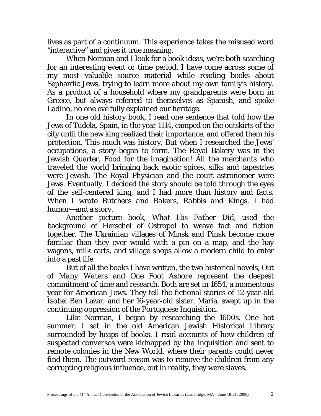lives as part of a continuum. This experience takes the misused word "interactive" and gives it true meaning.

When Norman and I look for a book ideas, we're both searching for an interesting event or time period. I have come across some of my most valuable source material while reading books about Sephardic Jews, trying to learn more about my own family's history. As a product of a household where my grandparents were born in Greece, but always referred to themselves as Spanish, and spoke Ladino, no one eve fully explained our heritage.

In one old history book, I read one sentence that told how the Jews of Tudela, Spain, in the year 1114, camped on the outskirts of the city until the new king realized their importance, and offered them his protection. This much was history. But when I researched the Jews' occupations, a story began to form. The Royal Bakery was in the Jewish Quarter. Food for the imagination! All the merchants who traveled the world bringing back exotic spices, silks and tapestries were Jewish. The Royal Physician and the court astronomer were Jews. Eventually, I decided the story should be told through the eyes of the self-centered king, and I had more than history and facts. When I wrote *Butchers and Bakers, Rabbis and Kings,* I had humor—and a story.

Another picture book, *What His Father Did*, used the background of Herschel of Ostropol to weave fact and fiction together. The Ukrainian villages of Minsk and Pinsk become more familiar than they ever would with a pin on a map, and the hay wagons, milk carts, and village shops allow a modern child to enter into a past life.

But of all the books I have written, the two historical novels, *Out of Many Waters* and *One Foot Ashore* represent the deepest commitment of time and research. Both are set in 1654, a momentous year for American Jews. They tell the fictional stories of 12-year-old Isobel Ben Lazar, and her 16-year-old sister, Maria, swept up in the continuing oppression of the Portuguese Inquisition.

Like Norman, I began by researching the 1600s. One hot summer, I sat in the old American Jewish Historical Library surrounded by heaps of books. I read accounts of how children of suspected *conversos* were kidnapped by the Inquisition and sent to remote colonies in the New World, where their parents could never find them. The outward reason was to remove the children from any corrupting religious influence, but in reality, they were slaves.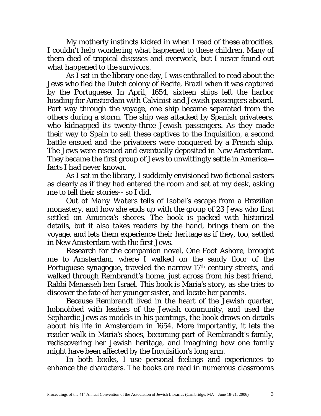My motherly instincts kicked in when I read of these atrocities. I couldn't help wondering what happened to these children. Many of them died of tropical diseases and overwork, but I never found out what happened to the survivors.

As I sat in the library one day, I was enthralled to read about the Jews who fled the Dutch colony of Recife, Brazil when it was captured by the Portuguese. In April, 1654, sixteen ships left the harbor heading for Amsterdam with Calvinist and Jewish passengers aboard. Part way through the voyage, one ship became separated from the others during a storm. The ship was attacked by Spanish privateers, who kidnapped its twenty-three Jewish passengers. As they made their way to Spain to sell these captives to the Inquisition, a second battle ensued and the privateers were conquered by a French ship. The Jews were rescued and eventually deposited in New Amsterdam. They became the first group of Jews to unwittingly settle in America facts I had never known.

As I sat in the library, I suddenly envisioned two fictional sisters as clearly as if they had entered the room and sat at my desk, asking me to tell their stories-- so I did.

*Out of Many Waters* tells of Isobel's escape from a Brazilian monastery, and how she ends up with the group of 23 Jews who first settled on America's shores. The book is packed with historical details, but it also takes readers by the hand, brings them on the voyage, and lets them experience their heritage as if they, too, settled in New Amsterdam with the first Jews.

Research for the companion novel, *One Foot Ashore*, brought me to Amsterdam, where I walked on the sandy floor of the Portuguese synagogue, traveled the narrow 17th century streets, and walked through Rembrandt's home, just across from his best friend, Rabbi Menasseh ben Israel. This book is Maria's story, as she tries to discover the fate of her younger sister, and locate her parents.

Because Rembrandt lived in the heart of the Jewish quarter, hobnobbed with leaders of the Jewish community, and used the Sephardic Jews as models in his paintings, the book draws on details about his life in Amsterdam in 1654. More importantly, it lets the reader walk in Maria's shoes, becoming part of Rembrandt's family, rediscovering her Jewish heritage, and imagining how one family might have been affected by the Inquisition's long arm.

In both books, I use personal feelings and experiences to enhance the characters. The books are read in numerous classrooms